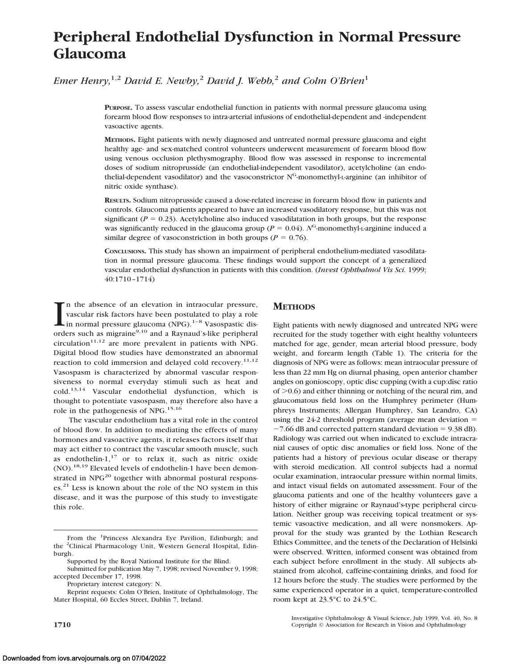# **Peripheral Endothelial Dysfunction in Normal Pressure Glaucoma**

*Emer Henry,*1,2 *David E. Newby,*<sup>2</sup> *David J. Webb,*<sup>2</sup> *and Colm O'Brien*<sup>1</sup>

**PURPOSE.** To assess vascular endothelial function in patients with normal pressure glaucoma using forearm blood flow responses to intra-arterial infusions of endothelial-dependent and -independent vasoactive agents.

**METHODS.** Eight patients with newly diagnosed and untreated normal pressure glaucoma and eight healthy age- and sex-matched control volunteers underwent measurement of forearm blood flow using venous occlusion plethysmography. Blood flow was assessed in response to incremental doses of sodium nitroprusside (an endothelial-independent vasodilator), acetylcholine (an endothelial-dependent vasodilator) and the vasoconstrictor N<sup>G</sup>-monomethyl-L-arginine (an inhibitor of nitric oxide synthase).

**RESULTS.** Sodium nitroprusside caused a dose-related increase in forearm blood flow in patients and controls. Glaucoma patients appeared to have an increased vasodilatory response, but this was not significant ( $P = 0.23$ ). Acetylcholine also induced vasodilatation in both groups, but the response was significantly reduced in the glaucoma group ( $P = 0.04$ ).  $N<sup>G</sup>$ -monomethyl-L-arginine induced a similar degree of vasoconstriction in both groups ( $P = 0.76$ ).

**CONCLUSIONS.** This study has shown an impairment of peripheral endothelium-mediated vasodilatation in normal pressure glaucoma. These findings would support the concept of a generalized vascular endothelial dysfunction in patients with this condition. (*Invest Ophthalmol Vis Sci.* 1999; 40:1710–1714)

 $\prod_{\text{ord}}$ n the absence of an elevation in intraocular pressure, vascular risk factors have been postulated to play a role in normal pressure glaucoma (NPG).<sup>1-8</sup> Vasospastic disorders such as migraine<sup>9,10</sup> and a Raynaud's-like peripheral  $circulation<sup>11,12</sup>$  are more prevalent in patients with NPG. Digital blood flow studies have demonstrated an abnormal reaction to cold immersion and delayed cold recovery.<sup>11,12</sup> Vasospasm is characterized by abnormal vascular responsiveness to normal everyday stimuli such as heat and cold.13,14 Vascular endothelial dysfunction, which is thought to potentiate vasospasm, may therefore also have a role in the pathogenesis of NPG.15,16

The vascular endothelium has a vital role in the control of blood flow. In addition to mediating the effects of many hormones and vasoactive agents, it releases factors itself that may act either to contract the vascular smooth muscle, such as endothelin-1, $17$  or to relax it, such as nitric oxide (NO).18,19 Elevated levels of endothelin-1 have been demonstrated in  $NPG<sup>20</sup>$  together with abnormal postural responses.<sup>21</sup> Less is known about the role of the NO system in this disease, and it was the purpose of this study to investigate this role.

## **METHODS**

Eight patients with newly diagnosed and untreated NPG were recruited for the study together with eight healthy volunteers matched for age, gender, mean arterial blood pressure, body weight, and forearm length (Table 1). The criteria for the diagnosis of NPG were as follows: mean intraocular pressure of less than 22 mm Hg on diurnal phasing, open anterior chamber angles on gonioscopy, optic disc cupping (with a cup:disc ratio of  $>0.6$ ) and either thinning or notching of the neural rim, and glaucomatous field loss on the Humphrey perimeter (Humphreys Instruments; Allergan Humphrey, San Leandro, CA) using the  $24-2$  threshold program (average mean deviation  $=$  $-7.66$  dB and corrected pattern standard deviation = 9.38 dB). Radiology was carried out when indicated to exclude intracranial causes of optic disc anomalies or field loss. None of the patients had a history of previous ocular disease or therapy with steroid medication. All control subjects had a normal ocular examination, intraocular pressure within normal limits, and intact visual fields on automated assessment. Four of the glaucoma patients and one of the healthy volunteers gave a history of either migraine or Raynaud's-type peripheral circulation. Neither group was receiving topical treatment or systemic vasoactive medication, and all were nonsmokers. Approval for the study was granted by the Lothian Research Ethics Committee, and the tenets of the Declaration of Helsinki were observed. Written, informed consent was obtained from each subject before enrollment in the study. All subjects abstained from alcohol, caffeine-containing drinks, and food for 12 hours before the study. The studies were performed by the same experienced operator in a quiet, temperature-controlled room kept at 23.5°C to 24.5°C.

Investigative Ophthalmology & Visual Science, July 1999, Vol. 40, No. 8 **1710** Copyright © Association for Research in Vision and Ophthalmology

From the <sup>1</sup>Princess Alexandra Eye Pavilion, Edinburgh; and the <sup>2</sup>Clinical Pharmacology Unit, Western General Hospital, Edinburgh.

Supported by the Royal National Institute for the Blind.

Submitted for publication May 7, 1998; revised November 9, 1998; accepted December 17, 1998.

Proprietary interest category: N.

Reprint requests: Colm O'Brien, Institute of Ophthalmology, The Mater Hospital, 60 Eccles Street, Dublin 7, Ireland.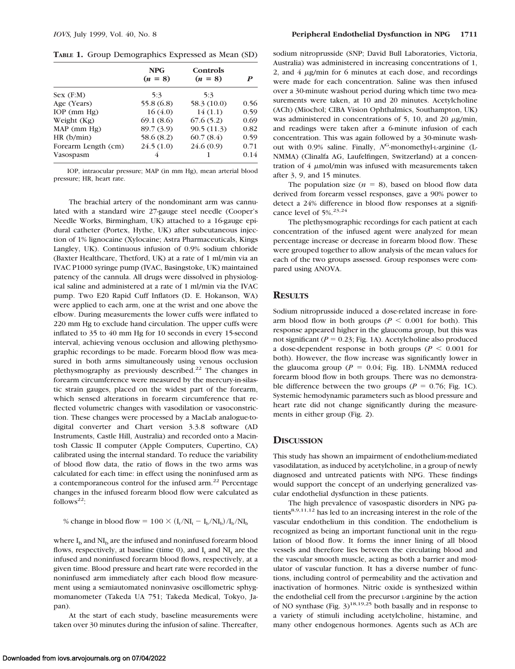**TABLE 1.** Group Demographics Expressed as Mean (SD)

|                     | <b>NPG</b><br>$(n = 8)$ | Controls<br>$(n = 8)$ |      |
|---------------------|-------------------------|-----------------------|------|
| Sex(F:M)            | 5:3                     | 5:3                   |      |
| Age (Years)         | 55.8 (6.8)              | 58.3 (10.0)           | 0.56 |
| $IOP$ (mm $Hg$ )    | 16(4.0)                 | 14(1.1)               | 0.59 |
| Weight $(Kg)$       | 69.1(8.6)               | 67.6(5.2)             | 0.69 |
| MAP (mm Hg)         | 89.7 (3.9)              | 90.5(11.3)            | 0.82 |
| HR(h/min)           | 58.6 (8.2)              | 60.7(8.4)             | 0.59 |
| Forearm Length (cm) | 24.5(1.0)               | 24.6(0.9)             | 0.71 |
| Vasospasm           | 4                       |                       | 0.14 |

IOP, intraocular pressure; MAP (in mm Hg), mean arterial blood pressure; HR, heart rate.

The brachial artery of the nondominant arm was cannulated with a standard wire 27-gauge steel needle (Cooper's Needle Works, Birmingham, UK) attached to a 16-gauge epidural catheter (Portex, Hythe, UK) after subcutaneous injection of 1% lignocaine (Xylocaine; Astra Pharmaceuticals, Kings Langley, UK). Continuous infusion of 0.9% sodium chloride (Baxter Healthcare, Thetford, UK) at a rate of 1 ml/min via an IVAC P1000 syringe pump (IVAC, Basingstoke, UK) maintained patency of the cannula. All drugs were dissolved in physiological saline and administered at a rate of 1 ml/min via the IVAC pump. Two E20 Rapid Cuff Inflators (D. E. Hokanson, WA) were applied to each arm, one at the wrist and one above the elbow. During measurements the lower cuffs were inflated to 220 mm Hg to exclude hand circulation. The upper cuffs were inflated to 35 to 40 mm Hg for 10 seconds in every 15-second interval, achieving venous occlusion and allowing plethysmographic recordings to be made. Forearm blood flow was measured in both arms simultaneously using venous occlusion plethysmography as previously described.<sup>22</sup> The changes in forearm circumference were measured by the mercury-in-silastic strain gauges, placed on the widest part of the forearm, which sensed alterations in forearm circumference that reflected volumetric changes with vasodilation or vasoconstriction. These changes were processed by a MacLab analogue-todigital converter and Chart version 3.3.8 software (AD Instruments, Castle Hill, Australia) and recorded onto a Macintosh Classic II computer (Apple Computers, Cupertino, CA) calibrated using the internal standard. To reduce the variability of blood flow data, the ratio of flows in the two arms was calculated for each time: in effect using the noninfused arm as a contemporaneous control for the infused arm.<sup>22</sup> Percentage changes in the infused forearm blood flow were calculated as follows<sup>22</sup>:

% change in blood flow =  $100 \times (I_t/NI_t - I_b/NI_b) /I_b/NI_b$ 

where  $I_b$  and  $NI_b$  are the infused and noninfused forearm blood flows, respectively, at baseline (time 0), and  $I_t$  and  $NI_t$  are the infused and noninfused forearm blood flows, respectively, at a given time. Blood pressure and heart rate were recorded in the noninfused arm immediately after each blood flow measurement using a semiautomated noninvasive oscillometric sphygmomanometer (Takeda UA 751; Takeda Medical, Tokyo, Japan).

At the start of each study, baseline measurements were taken over 30 minutes during the infusion of saline. Thereafter, sodium nitroprusside (SNP; David Bull Laboratories, Victoria, Australia) was administered in increasing concentrations of 1, 2, and  $4 \mu g/min$  for 6 minutes at each dose, and recordings were made for each concentration. Saline was then infused over a 30-minute washout period during which time two measurements were taken, at 10 and 20 minutes. Acetylcholine (ACh) (Miochol; CIBA Vision Ophthalmics, Southampton, UK) was administered in concentrations of 5, 10, and 20  $\mu$ g/min, and readings were taken after a 6-minute infusion of each concentration. This was again followed by a 30-minute washout with 0.9% saline. Finally, N<sup>G</sup>-monomethyl-L-arginine (L-NMMA) (Clinalfa AG, Laufelfingen, Switzerland) at a concentration of  $4 \mu$ mol/min was infused with measurements taken after 3, 9, and 15 minutes.

The population size  $(n = 8)$ , based on blood flow data derived from forearm vessel responses, gave a 90% power to detect a 24% difference in blood flow responses at a significance level of 5%.<sup>23,24</sup>

The plethysmographic recordings for each patient at each concentration of the infused agent were analyzed for mean percentage increase or decrease in forearm blood flow. These were grouped together to allow analysis of the mean values for each of the two groups assessed. Group responses were compared using ANOVA.

### **RESULTS**

Sodium nitroprusside induced a dose-related increase in forearm blood flow in both groups ( $P < 0.001$  for both). This response appeared higher in the glaucoma group, but this was not significant ( $P = 0.23$ ; Fig. 1A). Acetylcholine also produced a dose-dependent response in both groups ( $P < 0.001$  for both). However, the flow increase was significantly lower in the glaucoma group ( $P = 0.04$ ; Fig. 1B). L-NMMA reduced forearm blood flow in both groups. There was no demonstrable difference between the two groups ( $P = 0.76$ ; Fig. 1C). Systemic hemodynamic parameters such as blood pressure and heart rate did not change significantly during the measurements in either group (Fig. 2).

## **DISCUSSION**

This study has shown an impairment of endothelium-mediated vasodilatation, as induced by acetylcholine, in a group of newly diagnosed and untreated patients with NPG. These findings would support the concept of an underlying generalized vascular endothelial dysfunction in these patients.

The high prevalence of vasospastic disorders in NPG patients<sup>8,9,11,12</sup> has led to an increasing interest in the role of the vascular endothelium in this condition. The endothelium is recognized as being an important functional unit in the regulation of blood flow. It forms the inner lining of all blood vessels and therefore lies between the circulating blood and the vascular smooth muscle, acting as both a barrier and modulator of vascular function. It has a diverse number of functions, including control of permeability and the activation and inactivation of hormones. Nitric oxide is synthesized within the endothelial cell from the precursor L-arginine by the action of NO synthase (Fig.  $3^{18,19,25}$  both basally and in response to a variety of stimuli including acetylcholine, histamine, and many other endogenous hormones. Agents such as ACh are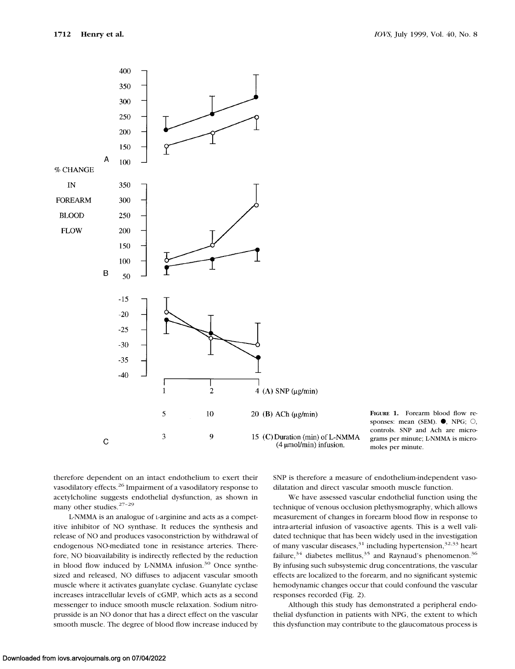

**FIGURE 1.** Forearm blood flow responses: mean (SEM).  $\bullet$ , NPG;  $\circ$ , controls. SNP and Ach are micrograms per minute; L-NMMA is micromoles per minute.

therefore dependent on an intact endothelium to exert their vasodilatory effects.26 Impairment of a vasodilatory response to acetylcholine suggests endothelial dysfunction, as shown in many other studies.<sup>27-29</sup>

L-NMMA is an analogue of L-arginine and acts as a competitive inhibitor of NO synthase. It reduces the synthesis and release of NO and produces vasoconstriction by withdrawal of endogenous NO-mediated tone in resistance arteries. Therefore, NO bioavailability is indirectly reflected by the reduction in blood flow induced by L-NMMA infusion.<sup>30</sup> Once synthesized and released, NO diffuses to adjacent vascular smooth muscle where it activates guanylate cyclase. Guanylate cyclase increases intracellular levels of cGMP, which acts as a second messenger to induce smooth muscle relaxation. Sodium nitroprusside is an NO donor that has a direct effect on the vascular smooth muscle. The degree of blood flow increase induced by

SNP is therefore a measure of endothelium-independent vasodilatation and direct vascular smooth muscle function.

We have assessed vascular endothelial function using the technique of venous occlusion plethysmography, which allows measurement of changes in forearm blood flow in response to intra-arterial infusion of vasoactive agents. This is a well validated technique that has been widely used in the investigation of many vascular diseases,  $31$  including hypertension,  $32,33$  heart failure,  $34$  diabetes mellitus,  $35$  and Raynaud's phenomenon.  $36$ By infusing such subsystemic drug concentrations, the vascular effects are localized to the forearm, and no significant systemic hemodynamic changes occur that could confound the vascular responses recorded (Fig. 2).

Although this study has demonstrated a peripheral endothelial dysfunction in patients with NPG, the extent to which this dysfunction may contribute to the glaucomatous process is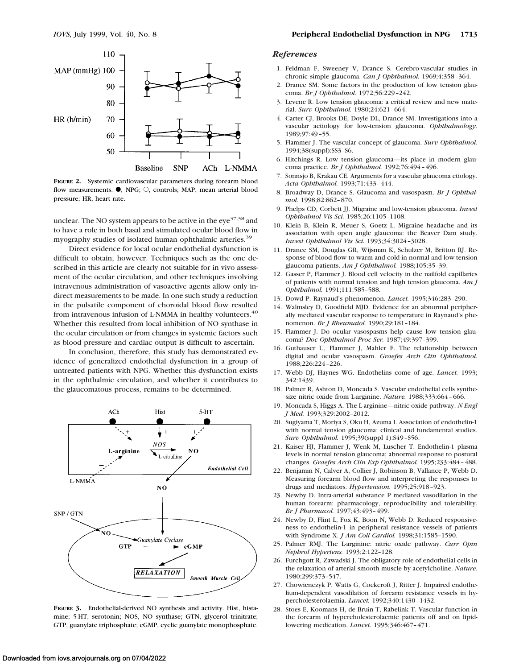

**FIGURE 2.** Systemic cardiovascular parameters during forearm blood flow measurements.  $\bullet$ , NPG;  $\circ$ , controls; MAP, mean arterial blood pressure; HR, heart rate.

unclear. The NO system appears to be active in the  $e^{\frac{37}{38}}$  and to have a role in both basal and stimulated ocular blood flow in myography studies of isolated human ophthalmic arteries.<sup>39</sup>

Direct evidence for local ocular endothelial dysfunction is difficult to obtain, however. Techniques such as the one described in this article are clearly not suitable for in vivo assessment of the ocular circulation, and other techniques involving intravenous administration of vasoactive agents allow only indirect measurements to be made. In one such study a reduction in the pulsatile component of choroidal blood flow resulted from intravenous infusion of L-NMMA in healthy volunteers.<sup>40</sup> Whether this resulted from local inhibition of NO synthase in the ocular circulation or from changes in systemic factors such as blood pressure and cardiac output is difficult to ascertain.

In conclusion, therefore, this study has demonstrated evidence of generalized endothelial dysfunction in a group of untreated patients with NPG. Whether this dysfunction exists in the ophthalmic circulation, and whether it contributes to the glaucomatous process, remains to be determined.



**FIGURE 3.** Endothelial-derived NO synthesis and activity. Hist, histamine; 5-HT, serotonin; NOS, NO synthase; GTN, glycerol trinitrate; GTP, guanylate triphosphate; cGMP, cyclic guanylate monophosphate.

#### *References*

- 1. Feldman F, Sweeney V, Drance S. Cerebro-vascular studies in chronic simple glaucoma. *Can J Ophthalmol.* 1969;4:358–364.
- 2. Drance SM. Some factors in the production of low tension glaucoma. *Br J Ophthalmol.* 1972;56:229–242.
- 3. Levene R. Low tension glaucoma: a critical review and new material. *Surv Ophthalmol.* 1980;24:621–664.
- 4. Carter CJ, Brooks DE, Doyle DL, Drance SM. Investigations into a vascular aetiology for low-tension glaucoma. *Ophthalmology.* 1989;97:49–55.
- 5. Flammer J. The vascular concept of glaucoma. *Surv Ophthalmol.* 1994;38(suppl):SS3–S6.
- 6. Hitchings R. Low tension glaucoma—its place in modern glaucoma practice. *Br J Ophthalmol.* 1992;76:494–496.
- 7. Sonnsjo B, Krakau CE. Arguments for a vascular glaucoma etiology. *Acta Ophthalmol.* 1993;71:433–444.
- 8. Broadway D, Drance S. Glaucoma and vasospasm. *Br J Ophthalmol.* 1998;82:862–870.
- 9. Phelps CD, Corbett JJ. Migraine and low-tension glaucoma. *Invest Ophthalmol Vis Sci.* 1985;26:1105–1108.
- 10. Klein B, Klein R, Meuer S, Goetz L. Migraine headache and its association with open angle glaucoma: the Beaver Dam study. *Invest Ophthalmol Vis Sci.* 1993;34:3024–3028.
- 11. Drance SM, Douglas GR, Wijsman K, Schulzer M, Britton RJ. Response of blood flow to warm and cold in normal and low-tension glaucoma patients. *Am J Ophthalmol.* 1988;105:35–39.
- 12. Gasser P, Flammer J. Blood cell velocity in the nailfold capillaries of patients with normal tension and high tension glaucoma. *Am J Ophthalmol.* 1991;111:585–588.
- 13. Dowd P. Raynaud's phenomenon. *Lancet.* 1995;346:283–290.
- 14. Walmsley D, Goodfield MJD. Evidence for an abnormal peripherally mediated vascular response to temperature in Raynaud's phenomenon. *Br J Rheumatol.* 1990;29:181–184.
- 15. Flammer J. Do ocular vasospasms help cause low tension glaucoma? *Doc Ophthalmol Proc Ser.* 1987;49:397–399.
- 16. Guthauser U, Flammer J, Mahler F. The relationship between digital and ocular vasospasm. *Graefes Arch Clin Ophthalmol.* 1988;226:224–226.
- 17. Webb DJ, Haynes WG. Endothelins come of age. *Lancet.* 1993; 342:1439.
- 18. Palmer R, Ashton D, Moncada S. Vascular endothelial cells synthesize nitric oxide from L-arginine. *Nature.* 1988;333:664–666.
- 19. Moncada S, Higgs A. The L-arginine—nitric oxide pathway. *N Engl J Med.* 1993;329:2002–2012.
- 20. Sugiyama T, Moriya S, Oku H, Azuma I. Association of endothelin-1 with normal tension glaucoma: clinical and fundamental studies. *Surv Ophthalmol.* 1995;39(suppl 1):S49–S56.
- 21. Kaiser HJ, Flammer J, Wenk M, Luscher T. Endothelin-1 plasma levels in normal tension glaucoma; abnormal response to postural changes. *Graefes Arch Clin Exp Ophthalmol.* 1995;233:484–488.
- 22. Benjamin N, Calver A, Collier J, Robinson B, Vallance P, Webb D. Measuring forearm blood flow and interpreting the responses to drugs and mediators. *Hypertension.* 1995;25:918–923.
- 23. Newby D. Intra-arterial substance P mediated vasodilation in the human forearm: pharmacology, reproducibility and tolerability. *Br J Pharmacol.* 1997;43:493–499.
- 24. Newby D, Flint L, Fox K, Boon N, Webb D. Reduced responsiveness to endothelin-1 in peripheral resistance vessels of patients with Syndrome X. *J Am Coll Cardiol.* 1998;31:1585–1590.
- 25. Palmer RMJ. The L-arginine: nitric oxide pathway. *Curr Opin Nephrol Hypertens.* 1993;2:122–128.
- 26. Furchgott R, Zawadski J. The obligatory role of endothelial cells in the relaxation of arterial smooth muscle by acetylcholine. *Nature.* 1980;299:373–547.
- 27. Chowienczyk P, Watts G, Cockcroft J, Ritter J. Impaired endothelium-dependent vasodilation of forearm resistance vessels in hypercholesterolaemia. *Lancet.* 1992;340:1430–1432.
- 28. Stoes E, Koomans H, de Bruin T, Rabelink T. Vascular function in the forearm of hypercholesterolaemic patients off and on lipidlowering medication. *Lancet.* 1995;346:467–471.